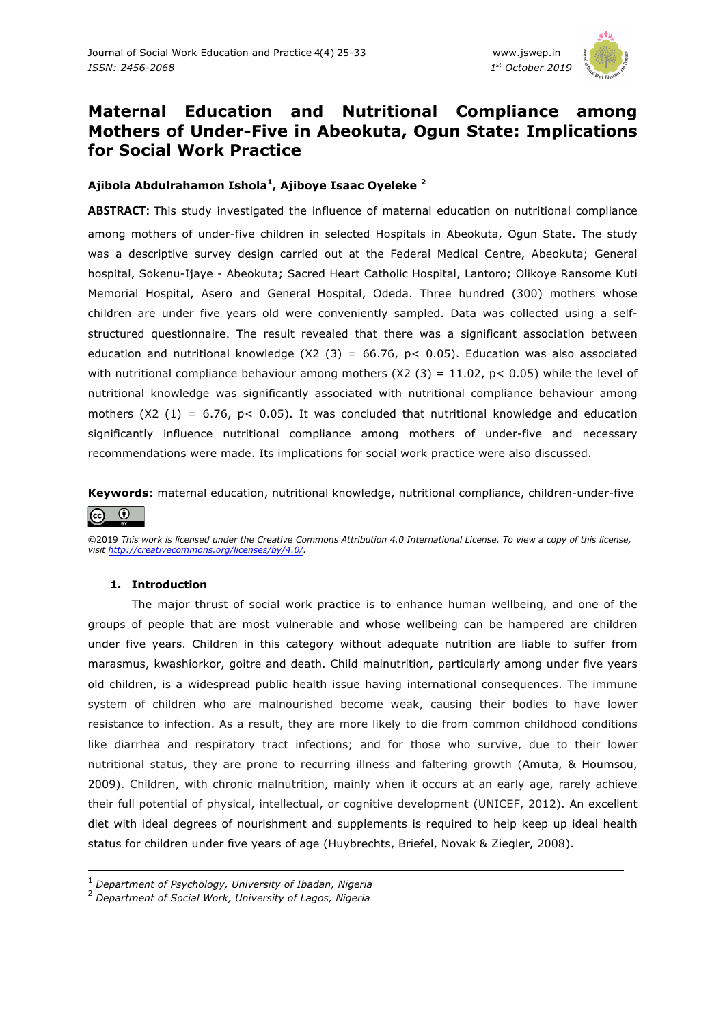

# **Maternal Education and Nutritional Compliance among Mothers of Under-Five in Abeokuta, Ogun State: Implications for Social Work Practice**

# **Ajibola Abdulrahamon Ishola1, Ajiboye Isaac Oyeleke 2**

**ABSTRACT:** This study investigated the influence of maternal education on nutritional compliance among mothers of under-five children in selected Hospitals in Abeokuta, Ogun State. The study was a descriptive survey design carried out at the Federal Medical Centre, Abeokuta; General hospital, Sokenu-Ijaye - Abeokuta; Sacred Heart Catholic Hospital, Lantoro; Olikoye Ransome Kuti Memorial Hospital, Asero and General Hospital, Odeda. Three hundred (300) mothers whose children are under five years old were conveniently sampled. Data was collected using a selfstructured questionnaire. The result revealed that there was a significant association between education and nutritional knowledge  $(X2 (3) = 66.76, p < 0.05)$ . Education was also associated with nutritional compliance behaviour among mothers (X2 (3) = 11.02, p < 0.05) while the level of nutritional knowledge was significantly associated with nutritional compliance behaviour among mothers (X2 (1) = 6.76,  $p < 0.05$ ). It was concluded that nutritional knowledge and education significantly influence nutritional compliance among mothers of under-five and necessary recommendations were made. Its implications for social work practice were also discussed.

**Keywords**: maternal education, nutritional knowledge, nutritional compliance, children-under-five  $\odot$  $|G \rangle$ 

©2019 *This work is licensed under the Creative Commons Attribution 4.0 International License. To view a copy of this license, visit http://creativecommons.org/licenses/by/4.0/.*

## **1. Introduction**

The major thrust of social work practice is to enhance human wellbeing, and one of the groups of people that are most vulnerable and whose wellbeing can be hampered are children under five years. Children in this category without adequate nutrition are liable to suffer from marasmus, kwashiorkor, goitre and death. Child malnutrition, particularly among under five years old children, is a widespread public health issue having international consequences. The immune system of children who are malnourished become weak, causing their bodies to have lower resistance to infection. As a result, they are more likely to die from common childhood conditions like diarrhea and respiratory tract infections; and for those who survive, due to their lower nutritional status, they are prone to recurring illness and faltering growth (Amuta, & Houmsou, 2009). Children, with chronic malnutrition, mainly when it occurs at an early age, rarely achieve their full potential of physical, intellectual, or cognitive development (UNICEF, 2012). An excellent diet with ideal degrees of nourishment and supplements is required to help keep up ideal health status for children under five years of age (Huybrechts, Briefel, Novak & Ziegler, 2008).

<sup>1</sup> *Department of Psychology, University of Ibadan, Nigeria*

<sup>2</sup> *Department of Social Work, University of Lagos, Nigeria*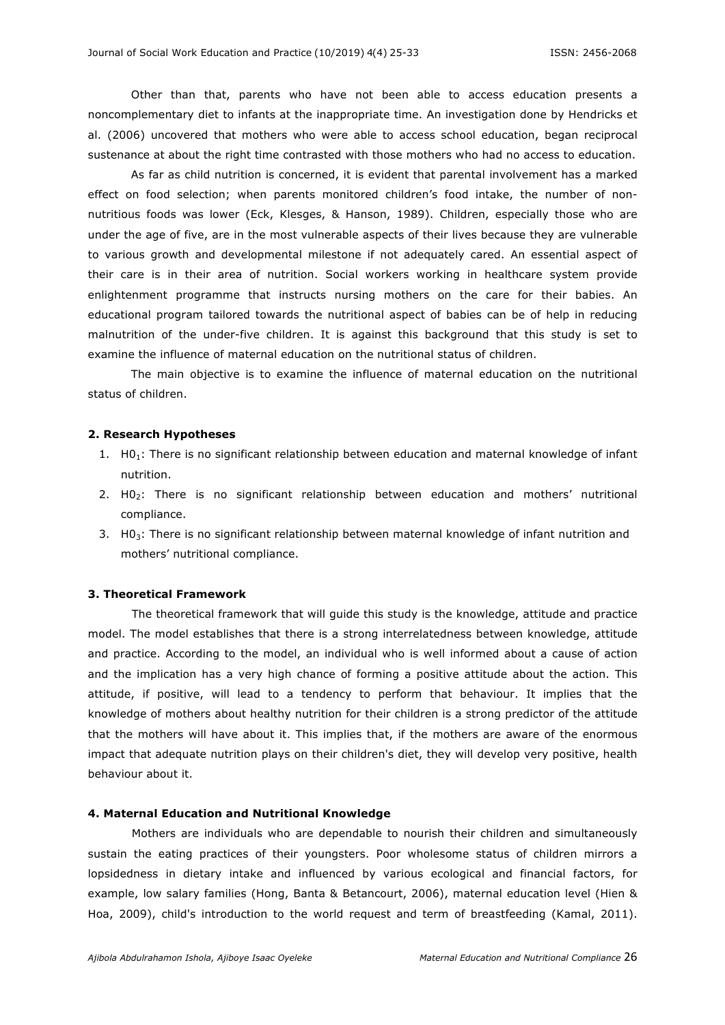Other than that, parents who have not been able to access education presents a noncomplementary diet to infants at the inappropriate time. An investigation done by Hendricks et al. (2006) uncovered that mothers who were able to access school education, began reciprocal sustenance at about the right time contrasted with those mothers who had no access to education.

As far as child nutrition is concerned, it is evident that parental involvement has a marked effect on food selection; when parents monitored children's food intake, the number of nonnutritious foods was lower (Eck, Klesges, & Hanson, 1989). Children, especially those who are under the age of five, are in the most vulnerable aspects of their lives because they are vulnerable to various growth and developmental milestone if not adequately cared. An essential aspect of their care is in their area of nutrition. Social workers working in healthcare system provide enlightenment programme that instructs nursing mothers on the care for their babies. An educational program tailored towards the nutritional aspect of babies can be of help in reducing malnutrition of the under-five children. It is against this background that this study is set to examine the influence of maternal education on the nutritional status of children.

The main objective is to examine the influence of maternal education on the nutritional status of children.

#### **2. Research Hypotheses**

- 1. H01: There is no significant relationship between education and maternal knowledge of infant nutrition.
- 2. H0<sub>2</sub>: There is no significant relationship between education and mothers' nutritional compliance.
- 3. H0<sub>3</sub>: There is no significant relationship between maternal knowledge of infant nutrition and mothers' nutritional compliance.

### **3. Theoretical Framework**

The theoretical framework that will guide this study is the knowledge, attitude and practice model. The model establishes that there is a strong interrelatedness between knowledge, attitude and practice. According to the model, an individual who is well informed about a cause of action and the implication has a very high chance of forming a positive attitude about the action. This attitude, if positive, will lead to a tendency to perform that behaviour. It implies that the knowledge of mothers about healthy nutrition for their children is a strong predictor of the attitude that the mothers will have about it. This implies that, if the mothers are aware of the enormous impact that adequate nutrition plays on their children's diet, they will develop very positive, health behaviour about it.

#### **4. Maternal Education and Nutritional Knowledge**

Mothers are individuals who are dependable to nourish their children and simultaneously sustain the eating practices of their youngsters. Poor wholesome status of children mirrors a lopsidedness in dietary intake and influenced by various ecological and financial factors, for example, low salary families (Hong, Banta & Betancourt, 2006), maternal education level (Hien & Hoa, 2009), child's introduction to the world request and term of breastfeeding (Kamal, 2011).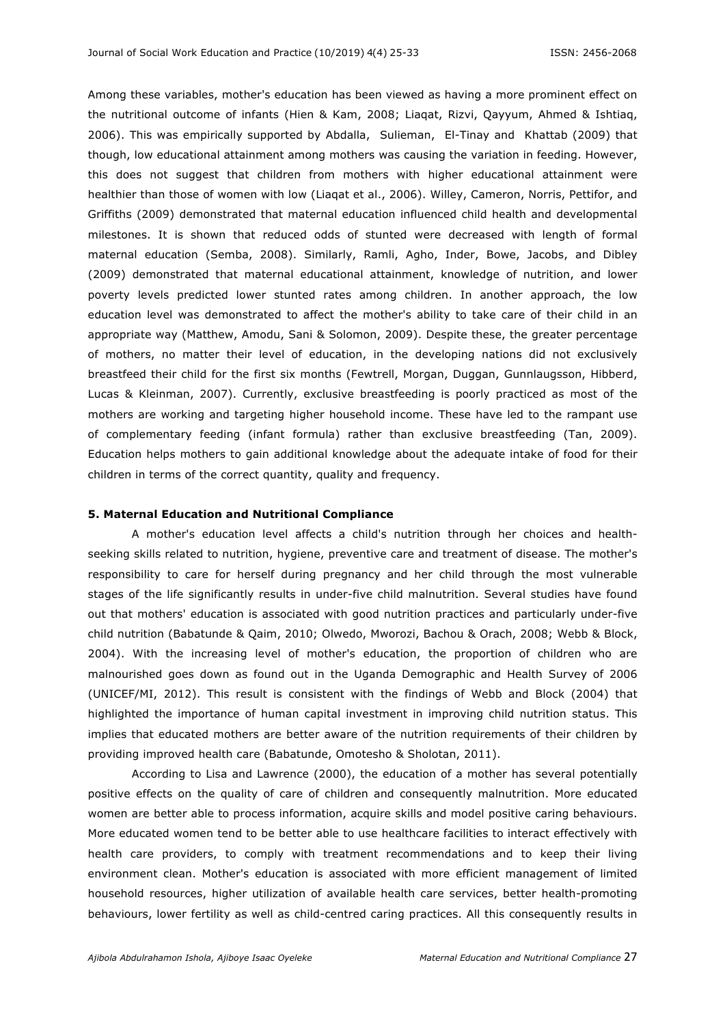Among these variables, mother's education has been viewed as having a more prominent effect on the nutritional outcome of infants (Hien & Kam, 2008; Liaqat, Rizvi, Qayyum, Ahmed & Ishtiaq, 2006). This was empirically supported by Abdalla, Sulieman, El-Tinay and Khattab (2009) that though, low educational attainment among mothers was causing the variation in feeding. However, this does not suggest that children from mothers with higher educational attainment were healthier than those of women with low (Liaqat et al., 2006). Willey, Cameron, Norris, Pettifor, and Griffiths (2009) demonstrated that maternal education influenced child health and developmental milestones. It is shown that reduced odds of stunted were decreased with length of formal maternal education (Semba, 2008). Similarly, Ramli, Agho, Inder, Bowe, Jacobs, and Dibley (2009) demonstrated that maternal educational attainment, knowledge of nutrition, and lower poverty levels predicted lower stunted rates among children. In another approach, the low education level was demonstrated to affect the mother's ability to take care of their child in an appropriate way (Matthew, Amodu, Sani & Solomon, 2009). Despite these, the greater percentage of mothers, no matter their level of education, in the developing nations did not exclusively breastfeed their child for the first six months (Fewtrell, Morgan, Duggan, Gunnlaugsson, Hibberd, Lucas & Kleinman, 2007). Currently, exclusive breastfeeding is poorly practiced as most of the mothers are working and targeting higher household income. These have led to the rampant use of complementary feeding (infant formula) rather than exclusive breastfeeding (Tan, 2009). Education helps mothers to gain additional knowledge about the adequate intake of food for their children in terms of the correct quantity, quality and frequency.

#### **5. Maternal Education and Nutritional Compliance**

A mother's education level affects a child's nutrition through her choices and healthseeking skills related to nutrition, hygiene, preventive care and treatment of disease. The mother's responsibility to care for herself during pregnancy and her child through the most vulnerable stages of the life significantly results in under-five child malnutrition. Several studies have found out that mothers' education is associated with good nutrition practices and particularly under-five child nutrition (Babatunde & Qaim, 2010; Olwedo, Mworozi, Bachou & Orach, 2008; Webb & Block, 2004). With the increasing level of mother's education, the proportion of children who are malnourished goes down as found out in the Uganda Demographic and Health Survey of 2006 (UNICEF/MI, 2012). This result is consistent with the findings of Webb and Block (2004) that highlighted the importance of human capital investment in improving child nutrition status. This implies that educated mothers are better aware of the nutrition requirements of their children by providing improved health care (Babatunde, Omotesho & Sholotan, 2011).

According to Lisa and Lawrence (2000), the education of a mother has several potentially positive effects on the quality of care of children and consequently malnutrition. More educated women are better able to process information, acquire skills and model positive caring behaviours. More educated women tend to be better able to use healthcare facilities to interact effectively with health care providers, to comply with treatment recommendations and to keep their living environment clean. Mother's education is associated with more efficient management of limited household resources, higher utilization of available health care services, better health-promoting behaviours, lower fertility as well as child-centred caring practices. All this consequently results in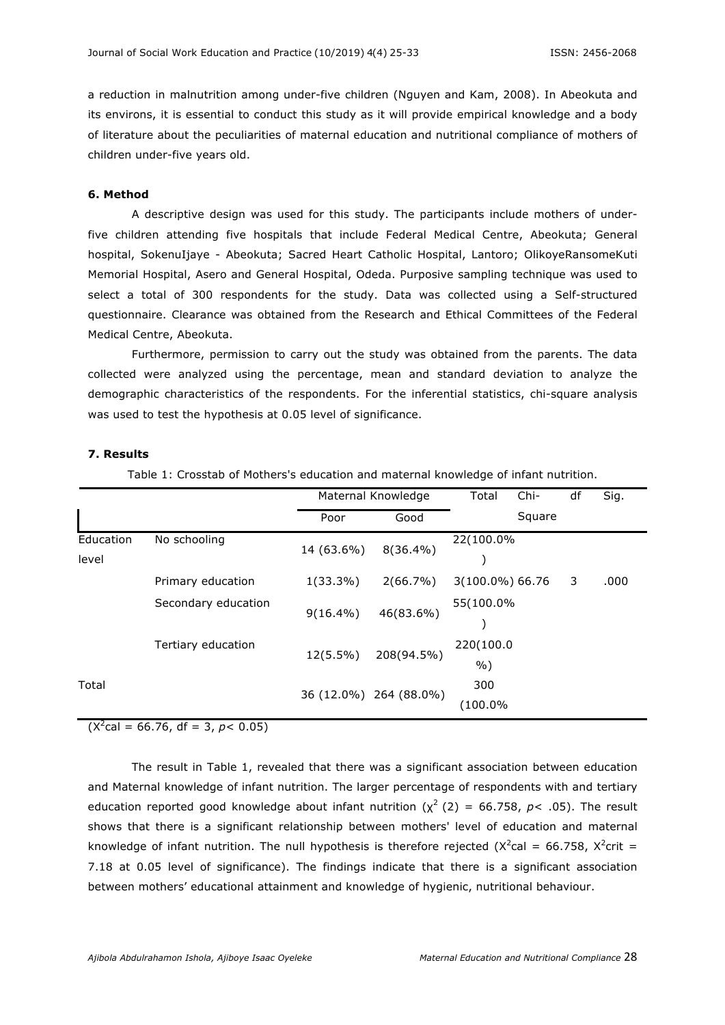a reduction in malnutrition among under-five children (Nguyen and Kam, 2008). In Abeokuta and its environs, it is essential to conduct this study as it will provide empirical knowledge and a body of literature about the peculiarities of maternal education and nutritional compliance of mothers of children under-five years old.

### **6. Method**

A descriptive design was used for this study. The participants include mothers of underfive children attending five hospitals that include Federal Medical Centre, Abeokuta; General hospital, SokenuIjaye - Abeokuta; Sacred Heart Catholic Hospital, Lantoro; OlikoyeRansomeKuti Memorial Hospital, Asero and General Hospital, Odeda. Purposive sampling technique was used to select a total of 300 respondents for the study. Data was collected using a Self-structured questionnaire. Clearance was obtained from the Research and Ethical Committees of the Federal Medical Centre, Abeokuta.

Furthermore, permission to carry out the study was obtained from the parents. The data collected were analyzed using the percentage, mean and standard deviation to analyze the demographic characteristics of the respondents. For the inferential statistics, chi-square analysis was used to test the hypothesis at 0.05 level of significance.

#### **7. Results**

Table 1: Crosstab of Mothers's education and maternal knowledge of infant nutrition.

|                    |                     |             | Maternal Knowledge     | Total              | Chi-   | df | Sig. |
|--------------------|---------------------|-------------|------------------------|--------------------|--------|----|------|
|                    |                     | Poor        | Good                   |                    | Square |    |      |
| Education<br>level | No schooling        | 14 (63.6%)  | $8(36.4\%)$            | 22(100.0%          |        |    |      |
|                    | Primary education   | $1(33.3\%)$ | $2(66.7\%)$            | 3(100.0%) 66.76    |        | 3  | .000 |
|                    | Secondary education | $9(16.4\%)$ | 46(83.6%)              | 55(100.0%          |        |    |      |
|                    | Tertiary education  | $12(5.5\%)$ | 208(94.5%)             | 220(100.0<br>$%$ ) |        |    |      |
| Total              |                     |             | 36 (12.0%) 264 (88.0%) | 300<br>(100.0%     |        |    |      |

 $(X^2$ cal = 66.76, df = 3, *p* < 0.05)

The result in Table 1, revealed that there was a significant association between education and Maternal knowledge of infant nutrition. The larger percentage of respondents with and tertiary education reported good knowledge about infant nutrition  $(x^2 (2) = 66.758, p < .05)$ . The result shows that there is a significant relationship between mothers' level of education and maternal knowledge of infant nutrition. The null hypothesis is therefore rejected ( $X^2$ cal = 66.758,  $X^2$ crit = 7.18 at 0.05 level of significance). The findings indicate that there is a significant association between mothers' educational attainment and knowledge of hygienic, nutritional behaviour.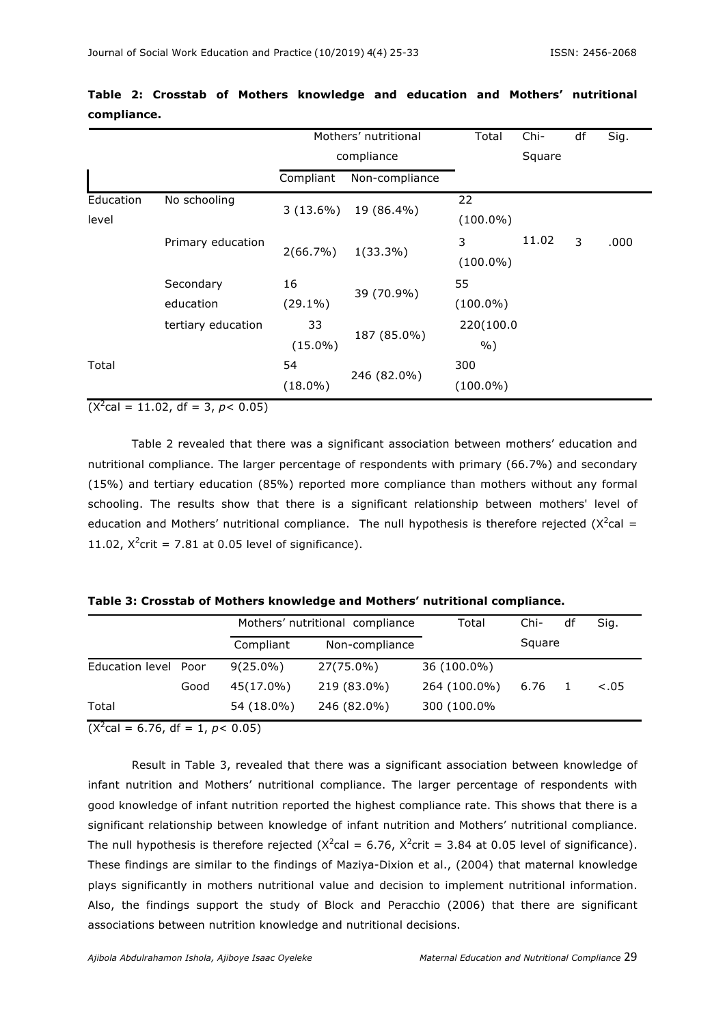|                    |                    | Mothers' nutritional |                | Total       | Chi-   | df | Sig. |
|--------------------|--------------------|----------------------|----------------|-------------|--------|----|------|
|                    |                    | compliance           |                |             | Square |    |      |
|                    |                    | Compliant            | Non-compliance |             |        |    |      |
| Education<br>level | No schooling       | $3(13.6\%)$          | 19 (86.4%)     | 22          |        |    |      |
|                    |                    |                      |                | $(100.0\%)$ |        |    |      |
|                    | Primary education  | $2(66.7\%)$          | $1(33.3\%)$    | 3           | 11.02  | 3  | .000 |
|                    |                    |                      |                | $(100.0\%)$ |        |    |      |
|                    | Secondary          | 16                   | 39 (70.9%)     | 55          |        |    |      |
|                    | education          | $(29.1\%)$           |                | $(100.0\%)$ |        |    |      |
|                    | tertiary education | 33                   | 187 (85.0%)    | 220(100.0   |        |    |      |
|                    |                    | $(15.0\%)$           |                | $%$ )       |        |    |      |
| Total              |                    | 54                   | 246 (82.0%)    |             |        |    |      |
|                    |                    | $(18.0\%)$           |                | $(100.0\%)$ |        |    |      |

# **Table 2: Crosstab of Mothers knowledge and education and Mothers' nutritional compliance.**

 $(X^2$ cal = 11.02, df = 3, *p* < 0.05)

Table 2 revealed that there was a significant association between mothers' education and nutritional compliance. The larger percentage of respondents with primary (66.7%) and secondary (15%) and tertiary education (85%) reported more compliance than mothers without any formal schooling. The results show that there is a significant relationship between mothers' level of education and Mothers' nutritional compliance. The null hypothesis is therefore rejected  $(X^2cal - s)$ 11.02,  $X^2$ crit = 7.81 at 0.05 level of significance).

|  |  | Table 3: Crosstab of Mothers knowledge and Mothers' nutritional compliance. |  |
|--|--|-----------------------------------------------------------------------------|--|
|  |  |                                                                             |  |

|                      |      | Mothers' nutritional compliance |                | Total        | Chi- | df | Sig.   |
|----------------------|------|---------------------------------|----------------|--------------|------|----|--------|
|                      |      | Compliant                       | Non-compliance | Square       |      |    |        |
| Education level Poor |      | $9(25.0\%)$                     | 27(75.0%)      | 36 (100.0%)  |      |    |        |
|                      | Good | 45(17.0%)                       | 219 (83.0%)    | 264 (100.0%) | 6.76 |    | $-.05$ |
| Total                |      | 54 (18.0%)                      | 246 (82.0%)    | 300 (100.0%  |      |    |        |

 $(X^2$ cal = 6.76, df = 1, *p* < 0.05)

Result in Table 3, revealed that there was a significant association between knowledge of infant nutrition and Mothers' nutritional compliance. The larger percentage of respondents with good knowledge of infant nutrition reported the highest compliance rate. This shows that there is a significant relationship between knowledge of infant nutrition and Mothers' nutritional compliance. The null hypothesis is therefore rejected (X<sup>2</sup>cal = 6.76, X<sup>2</sup>crit = 3.84 at 0.05 level of significance). These findings are similar to the findings of Maziya-Dixion et al., (2004) that maternal knowledge plays significantly in mothers nutritional value and decision to implement nutritional information. Also, the findings support the study of Block and Peracchio (2006) that there are significant associations between nutrition knowledge and nutritional decisions.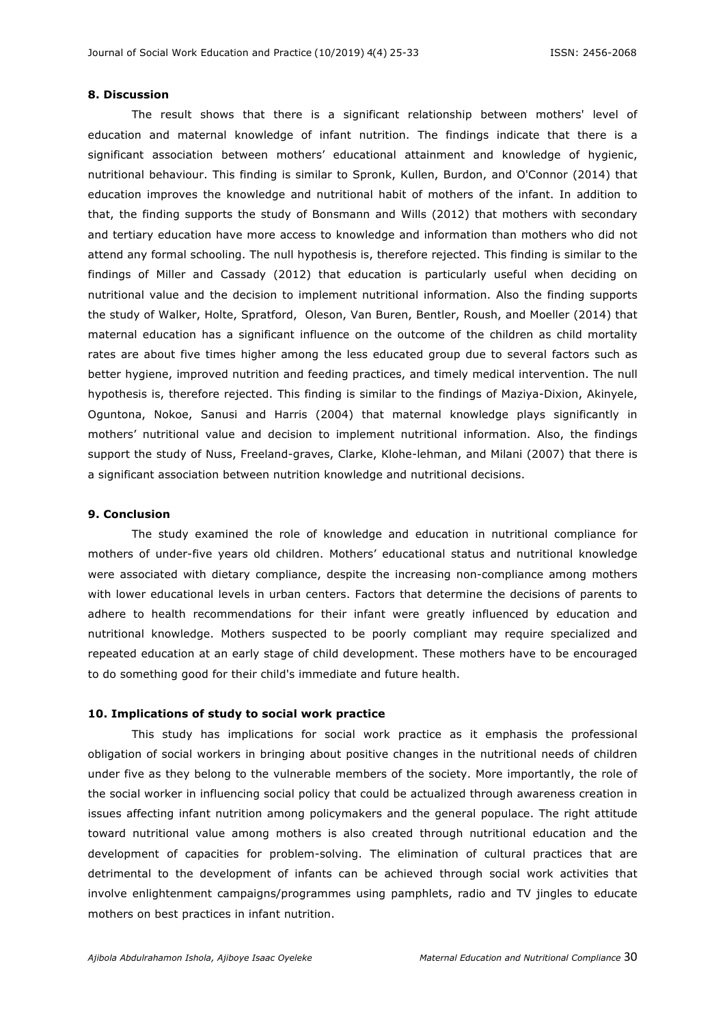#### **8. Discussion**

The result shows that there is a significant relationship between mothers' level of education and maternal knowledge of infant nutrition. The findings indicate that there is a significant association between mothers' educational attainment and knowledge of hygienic, nutritional behaviour. This finding is similar to Spronk, Kullen, Burdon, and O'Connor (2014) that education improves the knowledge and nutritional habit of mothers of the infant. In addition to that, the finding supports the study of Bonsmann and Wills (2012) that mothers with secondary and tertiary education have more access to knowledge and information than mothers who did not attend any formal schooling. The null hypothesis is, therefore rejected. This finding is similar to the findings of Miller and Cassady (2012) that education is particularly useful when deciding on nutritional value and the decision to implement nutritional information. Also the finding supports the study of Walker, Holte, Spratford, Oleson, Van Buren, Bentler, Roush, and Moeller (2014) that maternal education has a significant influence on the outcome of the children as child mortality rates are about five times higher among the less educated group due to several factors such as better hygiene, improved nutrition and feeding practices, and timely medical intervention. The null hypothesis is, therefore rejected. This finding is similar to the findings of Maziya-Dixion, Akinyele, Oguntona, Nokoe, Sanusi and Harris (2004) that maternal knowledge plays significantly in mothers' nutritional value and decision to implement nutritional information. Also, the findings support the study of Nuss, Freeland-graves, Clarke, Klohe-lehman, and Milani (2007) that there is a significant association between nutrition knowledge and nutritional decisions.

#### **9. Conclusion**

The study examined the role of knowledge and education in nutritional compliance for mothers of under-five years old children. Mothers' educational status and nutritional knowledge were associated with dietary compliance, despite the increasing non-compliance among mothers with lower educational levels in urban centers. Factors that determine the decisions of parents to adhere to health recommendations for their infant were greatly influenced by education and nutritional knowledge. Mothers suspected to be poorly compliant may require specialized and repeated education at an early stage of child development. These mothers have to be encouraged to do something good for their child's immediate and future health.

### **10. Implications of study to social work practice**

This study has implications for social work practice as it emphasis the professional obligation of social workers in bringing about positive changes in the nutritional needs of children under five as they belong to the vulnerable members of the society. More importantly, the role of the social worker in influencing social policy that could be actualized through awareness creation in issues affecting infant nutrition among policymakers and the general populace. The right attitude toward nutritional value among mothers is also created through nutritional education and the development of capacities for problem-solving. The elimination of cultural practices that are detrimental to the development of infants can be achieved through social work activities that involve enlightenment campaigns/programmes using pamphlets, radio and TV jingles to educate mothers on best practices in infant nutrition.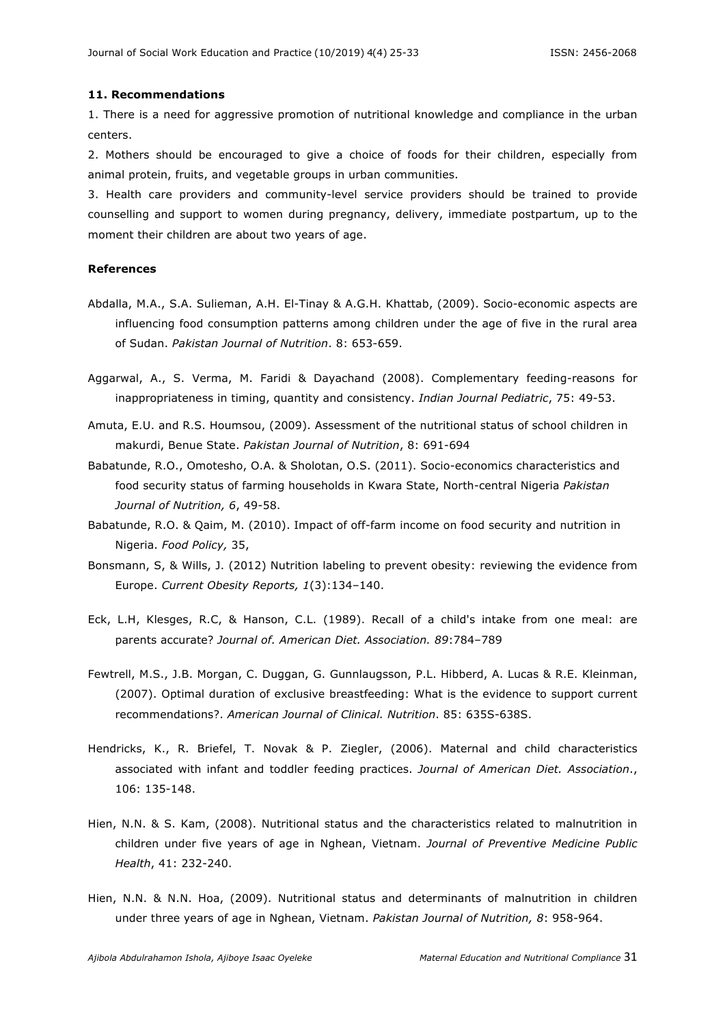#### **11. Recommendations**

1. There is a need for aggressive promotion of nutritional knowledge and compliance in the urban centers.

2. Mothers should be encouraged to give a choice of foods for their children, especially from animal protein, fruits, and vegetable groups in urban communities.

3. Health care providers and community-level service providers should be trained to provide counselling and support to women during pregnancy, delivery, immediate postpartum, up to the moment their children are about two years of age.

#### **References**

- Abdalla, M.A., S.A. Sulieman, A.H. El-Tinay & A.G.H. Khattab, (2009). Socio-economic aspects are influencing food consumption patterns among children under the age of five in the rural area of Sudan. *Pakistan Journal of Nutrition*. 8: 653-659.
- Aggarwal, A., S. Verma, M. Faridi & Dayachand (2008). Complementary feeding-reasons for inappropriateness in timing, quantity and consistency. *Indian Journal Pediatric*, 75: 49-53.
- Amuta, E.U. and R.S. Houmsou, (2009). Assessment of the nutritional status of school children in makurdi, Benue State. *Pakistan Journal of Nutrition*, 8: 691-694
- Babatunde, R.O., Omotesho, O.A. & Sholotan, O.S. (2011). Socio-economics characteristics and food security status of farming households in Kwara State, North-central Nigeria *Pakistan Journal of Nutrition, 6*, 49-58.
- Babatunde, R.O. & Qaim, M. (2010). Impact of off-farm income on food security and nutrition in Nigeria. *Food Policy,* 35,
- Bonsmann, S, & Wills, J. (2012) Nutrition labeling to prevent obesity: reviewing the evidence from Europe. *Current Obesity Reports, 1*(3):134–140.
- Eck, L.H, Klesges, R.C, & Hanson, C.L. (1989). Recall of a child's intake from one meal: are parents accurate? *Journal of. American Diet. Association. 89*:784–789
- Fewtrell, M.S., J.B. Morgan, C. Duggan, G. Gunnlaugsson, P.L. Hibberd, A. Lucas & R.E. Kleinman, (2007). Optimal duration of exclusive breastfeeding: What is the evidence to support current recommendations?. *American Journal of Clinical. Nutrition*. 85: 635S-638S.
- Hendricks, K., R. Briefel, T. Novak & P. Ziegler, (2006). Maternal and child characteristics associated with infant and toddler feeding practices. *Journal of American Diet. Association*., 106: 135-148.
- Hien, N.N. & S. Kam, (2008). Nutritional status and the characteristics related to malnutrition in children under five years of age in Nghean, Vietnam. *Journal of Preventive Medicine Public Health*, 41: 232-240.
- Hien, N.N. & N.N. Hoa, (2009). Nutritional status and determinants of malnutrition in children under three years of age in Nghean, Vietnam. *Pakistan Journal of Nutrition, 8*: 958-964.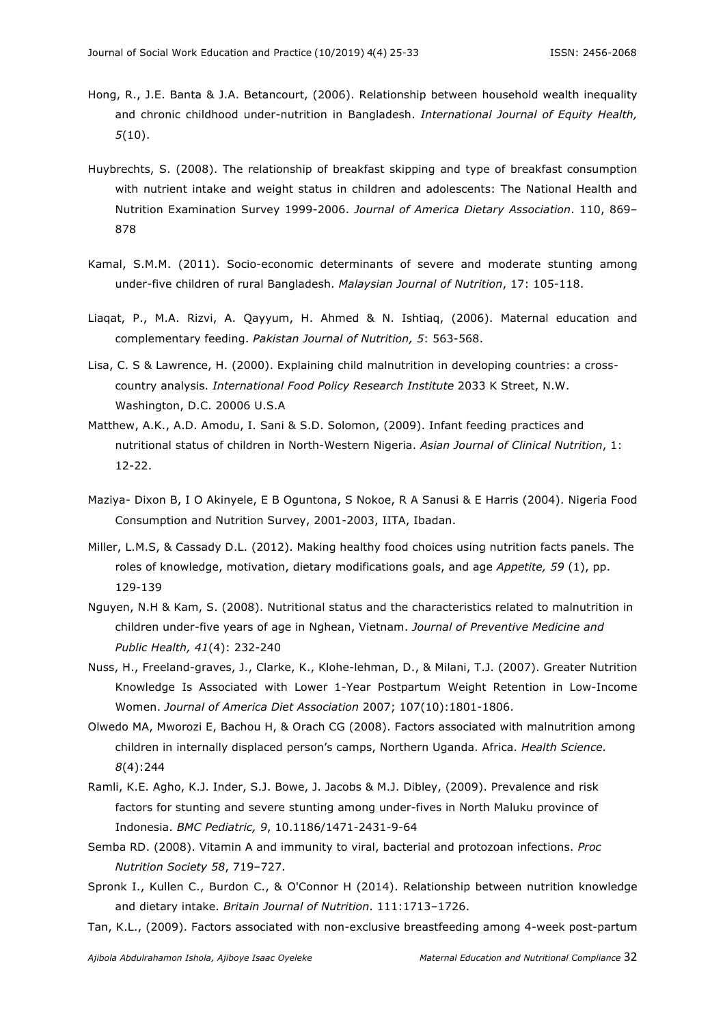- Hong, R., J.E. Banta & J.A. Betancourt, (2006). Relationship between household wealth inequality and chronic childhood under-nutrition in Bangladesh. *International Journal of Equity Health, 5*(10).
- Huybrechts, S. (2008). The relationship of breakfast skipping and type of breakfast consumption with nutrient intake and weight status in children and adolescents: The National Health and Nutrition Examination Survey 1999-2006. *Journal of America Dietary Association*. 110, 869– 878
- Kamal, S.M.M. (2011). Socio-economic determinants of severe and moderate stunting among under-five children of rural Bangladesh. *Malaysian Journal of Nutrition*, 17: 105-118.
- Liaqat, P., M.A. Rizvi, A. Qayyum, H. Ahmed & N. Ishtiaq, (2006). Maternal education and complementary feeding. *Pakistan Journal of Nutrition, 5*: 563-568.
- Lisa, C. S & Lawrence, H. (2000). Explaining child malnutrition in developing countries: a crosscountry analysis. *International Food Policy Research Institute* 2033 K Street, N.W. Washington, D.C. 20006 U.S.A
- Matthew, A.K., A.D. Amodu, I. Sani & S.D. Solomon, (2009). Infant feeding practices and nutritional status of children in North-Western Nigeria. *Asian Journal of Clinical Nutrition*, 1: 12-22.
- Maziya- Dixon B, I O Akinyele, E B Oguntona, S Nokoe, R A Sanusi & E Harris (2004). Nigeria Food Consumption and Nutrition Survey, 2001-2003, IITA, Ibadan.
- Miller, L.M.S, & Cassady D.L. (2012). Making healthy food choices using nutrition facts panels. The roles of knowledge, motivation, dietary modifications goals, and age *Appetite, 59* (1), pp. 129-139
- Nguyen, N.H & Kam, S. (2008). Nutritional status and the characteristics related to malnutrition in children under-five years of age in Nghean, Vietnam. *Journal of Preventive Medicine and Public Health, 41*(4): 232-240
- Nuss, H., Freeland-graves, J., Clarke, K., Klohe-lehman, D., & Milani, T.J. (2007). Greater Nutrition Knowledge Is Associated with Lower 1-Year Postpartum Weight Retention in Low-Income Women. *Journal of America Diet Association* 2007; 107(10):1801-1806.
- Olwedo MA, Mworozi E, Bachou H, & Orach CG (2008). Factors associated with malnutrition among children in internally displaced person's camps, Northern Uganda. Africa. *Health Science. 8*(4):244
- Ramli, K.E. Agho, K.J. Inder, S.J. Bowe, J. Jacobs & M.J. Dibley, (2009). Prevalence and risk factors for stunting and severe stunting among under-fives in North Maluku province of Indonesia. *BMC Pediatric, 9*, 10.1186/1471-2431-9-64
- Semba RD. (2008). Vitamin A and immunity to viral, bacterial and protozoan infections. *Proc Nutrition Society 58*, 719–727.
- Spronk I., Kullen C., Burdon C., & O'Connor H (2014). Relationship between nutrition knowledge and dietary intake. *Britain Journal of Nutrition*. 111:1713–1726.
- Tan, K.L., (2009). Factors associated with non-exclusive breastfeeding among 4-week post-partum